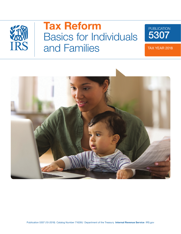

# Tax Reform Basics for Individuals and Families

PUBLICATION

5307

TAX YEAR 2018

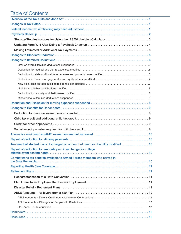# Table of Contents

| Step-by-Step Instructions for Using the IRS Withholding Calculator3                  |
|--------------------------------------------------------------------------------------|
|                                                                                      |
|                                                                                      |
|                                                                                      |
|                                                                                      |
|                                                                                      |
|                                                                                      |
|                                                                                      |
|                                                                                      |
|                                                                                      |
|                                                                                      |
|                                                                                      |
|                                                                                      |
|                                                                                      |
|                                                                                      |
|                                                                                      |
|                                                                                      |
|                                                                                      |
|                                                                                      |
|                                                                                      |
|                                                                                      |
| Treatment of student loans discharged on account of death or disability modified  10 |
| Repeal of deduction for amounts paid in exchange for college                         |
| Combat zone tax benefits available to Armed Forces members who served in             |
|                                                                                      |
|                                                                                      |
|                                                                                      |
|                                                                                      |
|                                                                                      |
|                                                                                      |
|                                                                                      |
|                                                                                      |
|                                                                                      |
|                                                                                      |
|                                                                                      |
|                                                                                      |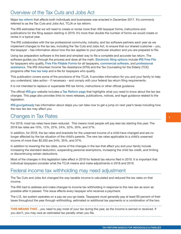# <span id="page-2-0"></span>Overview of the Tax Cuts and Jobs Act

Major [tax reform](https://www.congress.gov/bill/115th-congress/house-bill/1/text) that affects both individuals and businesses was enacted in December 2017. It's commonly referred to as the Tax Cuts and Jobs Act, TCJA or tax reform.

The IRS estimates that we will need to create or revise more than 400 taxpayer forms, instructions and publications for the filing season starting in 2019. It's more than double the number of forms we would create or revise in a typical year.

The IRS collaborates with the tax professional community, industry, and tax software partners each year as we implement changes to the tax law, including the Tax Cuts and Jobs Act, to ensure that our shared customer – you, the taxpayer - has information about how the law applies to your particular situation and you are prepared to file.

Using tax preparation software is the best and simplest way to file a complete and accurate tax return. The software guides you through the process and does all the math. [Electronic filing options](https://www.irs.gov/filing) include [IRS Free File](https://www.irs.gov/filing/free-file-do-your-federal-taxes-for-free) for taxpayers who qualify, [Free File Fillable Forms](https://www.irs.gov/e-file-providers/before-starting-free-file-fillable-forms) for all taxpayers, [commercial software](https://www.irs.gov/e-file-providers/efile-with-commercial-software), and [professional](https://www.irs.gov/tax-professionals/choosing-a-tax-professional)  [assistance](https://www.irs.gov/tax-professionals/choosing-a-tax-professional). The IRS Volunteer Income Tax Assistance (VITA) and the Tax Counseling for the Elderly (TCE) programs offer [free tax help](https://www.irs.gov/individuals/free-tax-return-preparation-for-you-by-volunteers) and e-file for taxpayers who qualify.

This publication covers some of the provisions of the TCJA. It provides information for you and your family to help you understand, take action - if necessary - and comply with your federal tax return filing requirements.

It is not intended to replace or supersede IRS tax forms, instructions or other official guidance.

The official [IRS.gov](https://www.irs.gov/) website includes a [Tax Reform page](https://www.irs.gov/newsroom/tax-reform) that highlights what you need to know about the tax law changes. This page also provides links to news releases, publications, notices, and legal guidance related to the legislation.

[IRS.gov/getready](https://www.irs.gov/individuals/steps-to-take-now-to-get-a-jump-on-next-years-taxes) has information about steps you can take now to get a jump on next year's taxes including how the new tax law may affect you.

### Changes in Tax Rates

For 2018, most tax rates have been reduced. This means most people will pay less tax starting this year. The 2018 tax rates are 10%, 12%, 22%, 24%, 32%, 35%, and 37%.

In addition, for 2018, the tax rates and brackets for the unearned income of a child have changed and are no longer affected by the tax situation of the child's parents. The new tax rates applicable to a child's unearned income of more than \$2,550 are 24%, 35%, and 37%.

In addition to lowering the tax rates, some of the changes in the law that affect you and your family include increasing the standard deduction, suspending personal exemptions, increasing the child tax credit, and limiting or discontinuing certain deductions.

Most of the changes in this legislation take effect in 2018 for federal tax returns filed in 2019. It is important that individual taxpayers consider what the TCJA means and make adjustments in 2018 and 2019.

### Federal income tax withholding may need adjustment

The Tax Cuts and Jobs Act changed the way taxable income is calculated and reduced the tax rates on that income.

The IRS had to address and make changes to income tax withholding in response to the new law as soon as possible after it passed. This issue affects every taxpayer who receives a paycheck.

The U.S. tax system operates on a pay-as-you-go basis. Taxpayers must generally pay at least 90 percent of their taxes throughout the year through withholding, estimated or additional tax payments or a combination of the two.

**THIS MEANS THAT...** you need to pay most of your tax during the year, as the income is earned or received. If you don't, you may owe an estimated tax penalty when you file.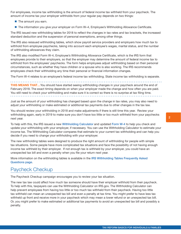<span id="page-3-0"></span>For employees, income tax withholding is the amount of federal income tax withheld from your paycheck. The amount of income tax your employer withholds from your regular pay depends on two things:

- $\blacksquare$  The amount you earn.
- The information you give your employer on Form W–4, Employee's Withholding Allowance Certificate.

The IRS issued new withholding tables for 2018 to reflect the changes in tax rates and tax brackets, the increased standard deduction and the suspension of personal exemptions, among other things.

The IRS also reissued withholding tables, which show payroll service providers and employers how much tax to withhold from employee paychecks, taking into account each employee's wages, marital status, and the number of withholding allowances they claim.

The IRS also modified Form W-4, Employee's Withholding Allowance Certificate, which is the IRS form that employees provide to their employers, so that the employer may determine the amount of federal income tax to withhold from the employees' paychecks. The form helps employees adjust withholding based on their personal circumstances, such as whether they have children or a spouse who is also working. The IRS recommends employees check their withholding any time their personal or financial information changes.

The Form W-4 relates to an employee's federal income tax withholding. State income tax withholding is separate.

**THIS MEANS THAT...** You should have started seeing withholding changes in your paycheck around the end of February 2018. The exact timing depends on when your employer made the change and how often you are paid. You still need to check your withholding and make sure it is correct so there is no surprise at tax filing time.

Just as the amount of your withholding has changed based upon the change in tax rates, you may also need to adjust your withholding or make estimated or additional tax payments due to other changes in the tax law.

You should review your withholding in 2018 and make adjustments if there is still time this year. Review your withholding again, early in 2019 to make sure you don't have too little or too much withheld from your paychecks next year.

To help with this, the IRS issued a new [Withholding Calculator](https://www.irs.gov/individuals/irs-withholding-calculator) and updated [Form W-4](https://www.irs.gov/forms-pubs/about-form-w4) to help you check and update your withholding with your employer, if necessary. You can use the Withholding Calculator to estimate your income tax. The Withholding Calculator compares that estimate to your current tax withholding and can help you decide if you need to change your withholding with your employer.

The new withholding tables were designed to produce the right amount of withholding for people with simple tax situations. Some people have more complicated tax situations and face the possibility of not having enough income tax withheld by their employer. If not enough tax is withheld by your employer, you could have an unexpected tax bill and even a penalty when you file your return next year.

More information on the withholding tables is available in the [IRS Withholding Tables Frequently Asked](https://www.irs.gov/newsroom/irs-withholding-tables-frequently-asked-questions)  [Questions page](https://www.irs.gov/newsroom/irs-withholding-tables-frequently-asked-questions).

## Paycheck Checkup

The Paycheck Checkup campaign encourages you to review your tax situation.

The new tax law could affect how much tax someone should have their employer withhold from their paycheck. To help with this, taxpayers can use the Withholding Calculator on IRS.gov. The Withholding Calculator can help prevent employees from having too little or too much tax withheld from their paycheck. Having too little tax withheld can mean an unexpected tax bill and even a penalty at tax time. You might prefer to have less tax withheld up front and receive more in your paycheck which may mean a lower refund or an unexpected tax bill. Or, you might prefer to make estimated or additional tax payments to avoid an unexpected tax bill and possibly a penalty.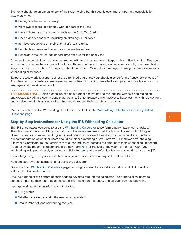<span id="page-4-0"></span>Everyone should do an annual check of their withholding but this year is even more important, especially for taxpayers who:

- Belong to a two-income family.
- Work two or more jobs or only work for part of the year.
- Have children and claim credits such as the Child Tax Credit.
- Have older dependents, including children age 17 or older.
- Itemized deductions on their prior year's tax returns.
- Earn high incomes and have more complex tax returns.
- $\blacksquare$  Received large tax refunds or had large tax bills for the prior year.

Changes in personal circumstances can reduce withholding allowances a taxpayer is entitled to claim. Taxpayers whose circumstances have changed, including those who have divorced, started a second job, or whose child no longer their dependent, have 10 days to submit a new Form W-4 to their employer claiming the proper number of withholding allowances.

Taxpayers who work seasonal jobs or are employed part of the year should also perform a "paycheck checkup." Any changes that a part-year employee makes to their withholding can affect each paycheck in a larger way than employees who work year-round.

**THIS MEANS THAT...Doing a checkup can help protect against having too little tax withheld and facing an** unexpected tax bill and even a penalty at tax time. Some taxpayers might prefer to have less tax withheld up front and receive more in their paychecks, which would reduce their tax refund next year.

More information on the Withholding Calculator is available in the [Withholding Calculator Frequently Asked](https://www.irs.gov/newsroom/irs-withholding-tables-frequently-asked-questions)  [Questions page](https://www.irs.gov/newsroom/withholding-calculator-frequently-asked-questions).

#### Step-by-Step Instructions for Using the IRS Withholding Calculator

The IRS encourages everyone to use the [Withholding Calculator](https://www.irs.gov/newsroom/withholding-calculator-frequently-asked-questions) to perform a quick "paycheck checkup." The objective of the withholding calculator and the worksheet are to get the tax liability and withholding as close to equal as possible, resulting in minimal refund or tax owed. Results from the calculator will include a recommendation of whether users should consider submitting a new Form W-4, Employee's Withholding Allowance Certificate, to their employers to either reduce or increase the amount of their withholding. In general, if you follow the recommendation and file a new form  $W-4$  for the rest of the year – or for next year - your withholding will approximately equal your anticipated tax, and any refund or tax owed should be less than \$25.

Before beginning, taxpayers should have a copy of their most recent pay stub and tax return.

Here are step-by-step instructions for using the calculator:

Go to the main [Withholding Calculator](https://www.irs.gov/individuals/irs-withholding-calculator) page on IRS.gov. Carefully read all information and click the blue Withholding Calculator button.

Use the buttons at the bottom of each page to navigate through the calculator. The buttons allow users to continue inputting their information, reset the information on that page, or start over from the beginning.

Input general tax situation information, including:

- **Filing status.**
- Whether anyone can claim the user as a dependent.
- $\blacksquare$  Total number of jobs held during the year.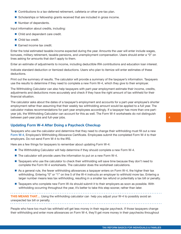- <span id="page-5-0"></span>■ Contributions to a tax-deferred retirement, cafeteria or other pre-tax plan.
- **Scholarships or fellowship grants received that are included in gross income.**
- Number of dependents.

Input information about credits, including:

- Child and dependent care credit.
- Child tax credit.
- Earned income tax credit.

Enter the total estimated taxable income expected during the year. Amounts the user will enter include wages, bonuses, military retirement, taxable pensions, and unemployment compensation. Users should enter a "0" on lines asking for amounts that don't apply to them.

Enter an estimate of adjustments to income, including deductible IRA contributions and education loan interest.

Indicate standard deduction or itemized deductions. Users who plan to itemize will enter estimates of these deductions.

Print out the summary of results. The calculator will provide a summary of the taxpayer's information. Taxpayers use the results to determine if they need to complete a new Form W-4, which they give to their employer.

The Withholding Calculator can also help taxpayers with part-year employment estimate their income, credits, adjustments and deductions more accurately and check if they have the right amount of tax withheld for their financial situation.

The calculator asks about the dates of a taxpayer's employment and accounts for a part-year employee's shorter employment rather than assuming that their weekly tax withholding amount would be applied to a full year. The calculator makes recommendations for part-year employees accordingly. If a taxpayer has more than one partyear job, the Withholding Calculator can account for this as well. The Form W-4 worksheets do not distinguish between part-year jobs and full-year jobs.

#### Updating Form W-4 After Doing a Paycheck Checkup

Taxpayers who use the calculator and determine that they need to change their withholding must fill out a new [Form W-4](https://www.irs.gov/forms-pubs/about-form-w4), Employee's Withholding Allowance Certificate. Employees submit the completed Form W-4 to their employers. Do not send Form W-4 to the IRS.

Here are a few things for taxpayers to remember about updating Form W-4:

- The Withholding Calculator will help determine if they should complete a new Form W-4.
- $\blacksquare$  The calculator will provide users the information to put on a new Form W-4.
- Taxpayers who use the calculator to check their withholding will save time because they don't need to complete the Form W-4 worksheets. The calculator does the worksheet calculations.
- As a general rule, the fewer withholding allowances a taxpayer enters on Form W-4, the higher their tax withholding. Entering "0" or "1" on line 5 of the W-4 instructs an employer to withhold more tax. Entering a larger number means less tax withholding, resulting in a smaller tax refund or potentially a tax bill or penalty.
- Taxpayers who complete new Form W-4s should submit it to their employers as soon as possible. With withholding occurring throughout the year, it's better to take this step sooner, rather than later.

**THIS MEANS THAT...** Using the withholding calculator can help you adjust your W-4 to possibly avoid an unexpected tax bill or penalty.

People who have too much tax withheld will get less money in their regular paycheck. If those taxpayers change their withholding and enter more allowances on Form W-4, they'll get more money in their paychecks throughout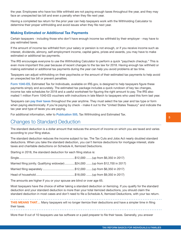<span id="page-6-0"></span>the year. Employees who have too little withheld are not paying enough taxes throughout the year, and they may face an unexpected tax bill and even a penalty when they file next year.

Having a completed tax return for the prior year can help taxpayers work with the Withholding Calculator to determine their proper withholding and avoid issues when they file next year.

#### Making Estimated or Additional Tax Payments

Certain taxpayers - including those who don't have enough income tax withheld by their employer - may have to pay estimated taxes.

If the amount of income tax withheld from your salary or pension is not enough, or if you receive income such as interest, dividends, alimony, self-employment income, capital gains, prizes and awards, you may have to make estimated or additional tax payments.

The IRS encourages everyone to use the Withholding Calculator to perform a quick "paycheck checkup." This is even more important this year because of recent changes to the tax law for 2018. Having enough tax withheld or making estimated or additional tax payments during the year can help you avoid problems at tax time.

Taxpayers can adjust withholding on their paychecks or the amount of their estimated tax payments to help avoid an unexpected tax bill or prevent penalties.

[Form 1040-ES](https://www.irs.gov/forms-pubs/about-form-1040-es), Estimated Tax for Individuals, available on IRS.gov, is designed to help taxpayers figure these payments simply and accurately. The estimated tax package includes a quick rundown of key tax changes, income tax rate schedules for 2018 and a useful worksheet for figuring the right amount to pay. The IRS also mailed 1 million Form 1040-ES vouchers with instructions in late March to taxpayers who used this form last year.

Taxpayers can [pay their taxes](https://www.irs.gov/forms-pubs/about-form-1040-es) throughout the year anytime. They must select the tax year and tax type or form when paying electronically. If you're paying by check - make it out to the "United States Treasury" and indicate the tax year and type of taxes you are paying.

For additional information, refer to [Publication 505,](https://www.irs.gov/pub/irs-pdf/p505.pdf) Tax Withholding and Estimated Tax.

### Changes to Standard Deduction

The standard deduction is a dollar amount that reduces the amount of income on which you are taxed and varies according to your filing status.

The standard deduction reduces the income subject to tax. The Tax Cuts and Jobs Act nearly doubled standard deductions. When you take the standard deduction, you can't itemize deductions for mortgage interest, state taxes and charitable deductions on Schedule A, Itemized Deductions.

Starting in 2018, the standard deduction for each filing status is:

| Married filing jointly. Qualifying widow(er) \$24,000  (up from \$12,700 in 2017) |
|-----------------------------------------------------------------------------------|
|                                                                                   |
|                                                                                   |
|                                                                                   |

The amounts are higher if you or your spouse are blind or over age 65.

Most taxpayers have the choice of either taking a standard deduction or itemizing. If you qualify for the standard deduction and your standard deduction is more than your total itemized deductions, you should claim the standard deduction in most cases and don't need to file a Schedule A, Itemized Deductions, with your tax return.

**THIS MEANS THAT...** Many taxpayers will no longer itemize their deductions and have a simpler time in filing their taxes.

More than 9 out of 10 taxpayers use tax software or a paid preparer to file their taxes. Generally, you answer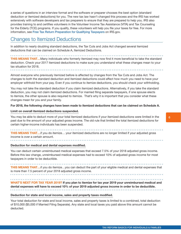<span id="page-7-0"></span>a series of questions in an interview format and the software or preparer chooses the best option (standard deduction or itemized deductions) for you. The new tax law hasn't changed this process and the IRS has worked extensively with software developers and tax preparers to ensure that they are prepared to help you. IRS also provides training to and certifies volunteers in the Volunteer Income Tax Assistance (VITA) and Tax Counseling for the Elderly (TCE) programs. If you qualify, these volunteers will help you file your taxes for free. For more information, see [Free Tax Return Preparation for Qualifying Taxpayers](https://www.irs.gov/individuals/free-tax-return-preparation-for-you-by-volunteers) on IRS.gov.

### Changes to Itemized Deductions

In addition to nearly doubling standard deductions, the Tax Cuts and Jobs Act changed several itemized deductions that can be claimed on Schedule A, Itemized Deductions.

**THIS MEANS THAT...**Many individuals who formerly itemized may now find it more beneficial to take the standard deduction. Check your 2017 itemized deductions to make sure you understand what these changes mean to your tax situation for 2018.

Almost everyone who previously itemized before is affected by changes from the Tax Cuts and Jobs Act. The changes to both the standard deduction and itemized deductions could affect how much you need to have your employer withhold from your pay. Even if you continue to itemize deductions, you should check your withholding.

You may not take the standard deduction if you claim itemized deductions. Alternatively, if you take the standard deduction, you may not claim itemized deductions. For married filing separate taxpayers, if one spouse elects to itemize, the other spouse is also required to itemize. That's why it is important that you consider what these changes mean for you and your family.

#### For 2018, the following changes have been made to itemized deductions that can be claimed on Schedule A.

#### Limit on overall itemized deductions suspended.

You may be able to deduct more of your total itemized deductions if your itemized deductions were limited in the past due to the amount of your adjusted gross income. The old rule that limited the total itemized deductions for certain higher-income individuals has been suspended.

**THIS MEANS THAT...** if you do itemize... your itemized deductions are no longer limited if your adjusted gross income is over a certain amount.

#### Deduction for medical and dental expenses modified.

You can deduct certain unreimbursed medical expenses that exceed 7.5% of your 2018 adjusted gross income. Before this law change, unreimbursed medical expenses had to exceed 10% of adjusted gross income for most taxpayers in order to be deductible.

**THIS MEANS THAT...** if you do itemize...you can deduct the part of your eligible medical and dental expenses that is more than 7.5 percent of your 2018 adjusted gross income.

. . . . . . . . . . . . . . . . . .

WHAT'S NEXT FOR TAX YEAR 2019? If you plan to itemize for tax year 2019 your unreimbursed medical and dental expenses will have to exceed 10% of your 2019 adjusted gross income in order to be deductible.

#### Deduction for state and local income, sales and property taxes modified.

Your total deduction for state and local income, sales and property taxes is limited to a combined, total deduction of \$10,000 (\$5,000 if Married Filing Separate). Any state and local taxes you paid above this amount cannot be deducted.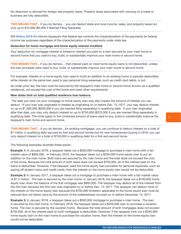<span id="page-8-0"></span>No deduction is allowed for foreign real property taxes. Property taxes associated with carrying on a trade or business are fully deductible.

**THIS MEANS THAT...** if you do itemize... you can deduct state and local income, sales, and property taxes but only up to \$10,000 (\$5,000 if Married Filing Separate). 

IRS [Notice 2018-54](https://www.irs.gov/pub/irs-drop/n-18-54.pdf) informs taxpayers that federal law controls the characterization of the payments for federal income tax purposes regardless of the characterization of the payments under state law.

#### Deduction for home mortgage and home equity interest modified.

Your deduction for mortgage interest is limited to interest you paid on a loan secured by your main home or second home that you used to buy, build, or substantially improve your main home or second home.

**THIS MEANS THAT...** if you do itemize... that interest paid on most home equity loans is not deductible unless the loan proceeds were used to buy, build, or substantially improve your main home or second home.

For example, interest on a home equity loan used to build an addition to an existing home is typically deductible, while interest on the same loan used to pay personal living expenses, such as credit card debts, is not.

As under prior law, the loan must be secured by the taxpayer's main home or second home (known as a qualified residence), not exceed the cost of the home and meet other requirements.

#### New dollar limit on total qualified residence loan balance.

 The date you took out your mortgage or home equity loan may also impact the amount of interest you can deduct. If your loan was originated or treated as originating on or before Dec. 15, 2017, you may deduct interest on up to \$1,000,000 (\$500,000 if you are married filing separately) in qualifying debt. If your loan originated after that date, you may only deduct interest on up to \$750,000 (\$375,000 if you are married filing separately) in qualifying debt. The limits apply to the combined amount of loans used to buy, build or substantially improve the taxpayer's main home and second home.

THIS MEANS THAT... if you do itemize... for existing mortgages, you can continue to deduct interest on a total of \$1 million in qualifying debt secured by first and second homes but for new homeowners buying in 2018, you can only deduct interest on a total of \$750,000 in qualifying debt for a first and second home.

The following examples illustrate these points.

**Example 1:** In January 2018, a taxpayer takes out a \$500,000 mortgage to purchase a main home with a fair market value of \$800,000. In February 2018, the taxpayer takes out a \$250,000 home equity loan to put an addition on the main home. Both loans are secured by the main home and the total does not exceed the cost of the home. Because the total amount of both loans does not exceed \$750,000, all of the interest paid on the loans is deductible. However, if the taxpayer used the home equity loan proceeds for personal expenses, such as paying off student loans and credit cards, then the interest on the home equity loan would not be deductible.

**Example 2:** In January 2017, a taxpayer takes out a mortgage to purchase a main home with a fair market value of \$1.2 million. The loan is secured by the main home. In January 2018, the taxpayer takes out a \$100,000 home equity loan when the balance of the first mortgage was \$900,000. The taxpayer may deduct all of the interest from the first loan because the first loan was originated on or before Dec. 15, 2017. The taxpayer can deduct none of the interest on the home equity loan because the \$750,000 limitation applicable to the home equity loan must be reduced (but not below zero) by the amount of the indebtedness incurred on or before December 15, 2017.

**Example 3:** In January 2018, a taxpayer takes out a \$500,000 mortgage to purchase a main home. The loan is secured by the main home. In February 2018, the taxpayer takes out a \$250,000 loan to purchase a vacation home. The loan is secured by the vacation home. Because the total amount of both mortgages does not exceed \$750,000, all of the interest paid on both mortgages is deductible. However, if the taxpayer took out a \$250,000 home equity loan on the main home to purchase the vacation home, then the interest on the home equity loan would not be deductible.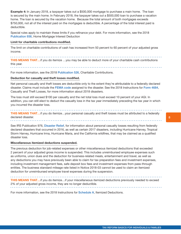<span id="page-9-0"></span>Example 4: In January 2018, a taxpayer takes out a \$500,000 mortgage to purchase a main home. The loan is secured by the main home. In February 2018, the taxpayer takes out a \$500,000 loan to purchase a vacation home. The loan is secured by the vacation home. Because the total amount of both mortgages exceeds \$750,000, not all of the interest paid on the mortgages is deductible. A percentage of the total interest paid is deductible.

Special rules apply to maintain these limits if you refinance your debt. For more information, see the 2018 [Publication 936](https://www.irs.gov/forms-pubs/about-publication-936), Home Mortgage Interest Deduction

#### Limit for charitable contributions modified.

The limit on charitable contributions of cash has increased from 50 percent to 60 percent of your adjusted gross income.

**THIS MEANS THAT...** if you do itemize ...you may be able to deduct more of your charitable cash contributions this year. 

For more information, see the 2018 [Publication 526](https://www.irs.gov/forms-pubs/about-publication-526), Charitable Contributions.

#### Deduction for casualty and theft losses modified.

Net personal casualty and theft losses are deductible only to the extent they're attributable to a federally declared disaster. Claims must include the [FEMA code](https://www.fema.gov/disasters/) assigned to the disaster. See the 2018 Instructions for [Form 4684](https://www.irs.gov/forms-pubs/form-4684-casualties-and-thefts), Casualty and Theft Losses, for more information about 2018 disasters.

The loss must still exceed \$100 per casualty and the net total loss must exceed 10 percent of your AGI. In addition, you can still elect to deduct the casualty loss in the tax year immediately preceding the tax year in which you incurred the disaster loss.

**THIS MEANS THAT...** if you do itemize...your personal casualty and theft losses must be attributed to a federally declared disaster. **. . . . . . . . . . . .** 

See IRS Publication 976, [Disaster Relief](https://www.irs.gov/forms-pubs/about-publication-976-disaster-relief), for information about personal casualty losses resulting from federally declared disasters that occurred in 2016, as well as certain 2017 disasters, including Hurricane Harvey, Tropical Storm Harvey, Hurricane Irma, Hurricane Maria, and the California wildfires, that may be claimed as a qualified disaster loss.

#### Miscellaneous itemized deductions suspended.

The previous deduction for job-related expenses or other miscellaneous itemized deductions that exceeded 2 percent of your adjusted gross income is suspended. This includes unreimbursed employee expenses such as uniforms, union dues and the deduction for business-related meals, entertainment and travel, as well as any deductions you may have previously been able to claim for tax preparation fees and investment expenses, including investment management fees, safe deposit box fees and investment expenses from pass-through entities. The business standard mileage rate listed in Notice 2018-03 cannot be used to claim an itemized deduction for unreimbursed employee travel expenses during the suspension.

THIS MEANS THAT...if you do itemize...if your miscellaneous itemized deductions previously needed to exceed 2% of your adjusted gross income, they are no longer deductible. 

For more information, see the 2018 Instructions for [Schedule A](https://www.irs.gov/forms-pubs/about-schedule-a-form-1040), Itemized Deductions.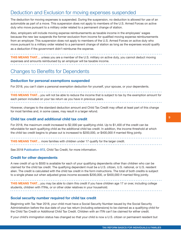### <span id="page-10-0"></span>Deduction and Exclusion for moving expenses suspended

The deduction for moving expenses is suspended. During the suspension, no deduction is allowed for use of an automobile as part of a move. This suspension does not apply to members of the U.S. Armed Forces on active duty who move pursuant to a military order related to a permanent change of station.

Also, employers will include moving expense reimbursements as taxable income in the employees' wages because the new law suspends the former exclusion from income for qualified moving expense reimbursements from an employer. This suspension does not apply to members of the U.S. Armed Forces on active duty who move pursuant to a military order related to a permanent change of station as long as the expenses would qualify as a deduction if the government didn't reimburse the expense.

**THIS MEANS THAT...** unless you are a member of the U.S. military on active duty, you cannot deduct moving expenses and amounts reimbursed by an employer will be taxable income. 

### Changes to Benefits for Dependents

#### Deduction for personal exemptions suspended

For 2018, you can't claim a personal exemption deduction for yourself, your spouse, or your dependents.

**THIS MEANS THAT...** you will not be able to reduce the income that is subject to tax by the exemption amount for each person included on your tax return as you have in previous years.

However, changes to the standard deduction amount and Child Tax Credit may offset at least part of this change for most families and, in some cases, may result in a larger refund.

#### Child tax credit and additional child tax credit

For 2018, the maximum credit increased to \$2,000 per qualifying child. Up to \$1,400 of the credit can be refundable for each qualifying child as the additional child tax credit. In addition, the income threshold at which the child tax credit begins to phase out is increased to \$200,000, or \$400,000 if married filing jointly.

```
THIS MEANS THAT... more families with children under 17 qualify for the larger credit.
```
See 2018 [Publication 972](https://www.irs.gov/forms-pubs/about-publication-972), Child Tax Credit, for more information.

#### Credit for other dependents

A new credit of up to \$500 is available for each of your qualifying dependents other than children who can be claimed for the child tax credit. The qualifying dependent must be a U.S. citizen, U.S. national, or U.S. resident alien. The credit is calculated with the child tax credit in the form instructions. The total of both credits is subject to a single phase out when adjusted gross income exceeds \$200,000, or \$400,000 if married filing jointly.

. . . . . . . . **THIS MEANS THAT...**you may be able to claim this credit if you have children age 17 or over, including college students, children with ITINs, or or other older relatives in your household. 

#### Social security number required for child tax credit

Beginning with Tax Year 2018, your child must have a Social Security Number issued by the Social Security Administration before the due date of your tax return (including extensions) to be claimed as a qualifying child for the Child Tax Credit or Additional Child Tax Credit. Children with an ITIN can't be claimed for either credit.

If your child's immigration status has changed so that your child is now a U.S. citizen or permanent resident but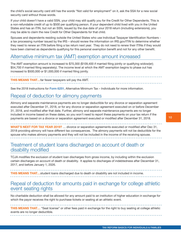<span id="page-11-0"></span>the child's social security card still has the words "Not valid for employment" on it, ask the SSA for a new social security card without those words.

If your child doesn't have a valid SSN, your child may still qualify you for the Credit for Other Dependents. This is a non-refundable credit of up to \$500 per qualifying person. If your dependent child lived with you in the United States and has an ITIN, but not an SSN, issued by the due date of your 2018 return (including extensions), you may be able to claim the new Credit for Other Dependents for that child.

Spouses and dependents residing outside the United States who use Individual Taxpayer Identification Numbers a tax processing number issued by the IRS – should review the information on IRS.gov/ITIN to determine whether they need to renew an ITIN before filing a tax return next year. They do not need to renew their ITINs if they would have been claimed as dependents qualifying for this personal exemption benefit and not for any other benefit.

### Alternative minimum tax (AMT) exemption amount increased

The AMT exemption amount is increased to \$70,300 (\$109,400 if married filing jointly or qualifying widow(er); \$54,700 if married filing separately). The income level at which the AMT exemption begins to phase out has increased to \$500,000 or \$1,000,000 if married filing jointly.

THIS MEANS THAT...far fewer taxpayers will pay the AMT.

See the 2018 Instructions for [Form 6251](https://www.irs.gov/forms-pubs/form-6251-alternative-minimum-tax-individuals), Alternative Minimum Tax – Individuals for more information.

### Repeal of deduction for alimony payments

Alimony and separate maintenance payments are no longer deductible for any divorce or separation agreement executed after December 31, 2018, or for any divorce or separation agreement executed on or before December 31, 2018, and modified after that date. Further, alimony and separate maintenance payments are no longer included in income based on these dates, so you won't need to report these payments on your tax return if the payments are based on a divorce or separation agreement executed or modified after December 31, 2018.

WHAT'S NEXT FOR TAX YEAR 2019? ... divorce or separation agreements executed or modified after Dec 31, 2018 providing alimony will have different tax consequences. The alimony payments will not be deductible for the spouse who makes alimony payments and they will not be included in the income of the receiving spouse.

Treatment of student loans discharged on account of death or disability modified

TCJA modifies the exclusion of student loan discharges from gross income, by including within the exclusion certain discharges on account of death or disability. It applies to discharges of indebtedness after December 31, 2017, and before January 1, 2026.

**THIS MEANS THAT...**student loans discharged due to death or disability are not included in income.

### Repeal of deduction for amounts paid in exchange for college athletic event seating rights

No charitable deduction shall be allowed for any amount paid to an institution of higher education in exchange for which the payor receives the right to purchase tickets or seating at an athletic event.

**THIS MEANS THAT...** "Seat license" or other fees paid in exchange for the right to buy seating at college athletic events are no longer deductible.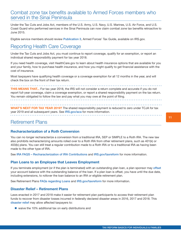### <span id="page-12-0"></span>Combat zone tax benefits available to Armed Forces members who served in the Sinai Peninsula

Under the Tax Cuts and Jobs Act, members of the U.S. Army, U.S. Navy, U.S. Marines, U.S. Air Force, and U.S. Coast Guard who performed services in the Sinai Peninsula can now claim combat zone tax benefits retroactive to June 2015.

Eligible service members should review [Publication 3](https://www.irs.gov/forms-pubs/about-publication-3), Armed Forces' Tax Guide, available on IRS.gov.

# Reporting Health Care Coverage

Under the Tax Cuts and Jobs Act, you must continue to report coverage, qualify for an exemption, or report an individual shared responsibility payment for tax year 2018.

If you need health coverage, visit HealthCare.gov to learn about health insurance options that are available for you and your family, how to purchase health insurance, and how you might qualify to get financial assistance with the cost of insurance.

Most taxpayers have qualifying health coverage or a coverage exemption for all 12 months in the year, and will check the box on the front of their tax return.

**THIS MEANS THAT...** For tax year 2018, the IRS will not consider a return complete and accurate if you do not report full-year coverage, claim a coverage exemption, or report a shared responsibility payment on the tax return. You remain obligated to follow the law and pay what you may owe at the point of filing. 

WHAT'S NEXT FOR TAX YEAR 2019? The shared responsibility payment is reduced to zero under TCJA for tax year 2019 and all subsequent years. See [IRS.gov/aca](https://www.irs.gov/affordable-care-act) for more information.

### Retirement Plans

#### Recharacterization of a Roth Conversion

You can no longer recharacterize a conversion from a traditional IRA, SEP or SIMPLE to a Roth IRA. The new law also prohibits recharacterizing amounts rolled over to a Roth IRA from other retirement plans, such as 401(k) or 403(b) plans. You can still treat a regular contribution made to a Roth IRA or to a traditional IRA as having been made to the other type of IRA.

See [IRA FAQS – Recharacterization of IRA Contributions](https://www.irs.gov/retirement-plans/ira-faqs-recharacterization-of-ira-contributions) and [IRS.gov/taxreform](https://www.irs.gov/newsroom/tax-exempt-government-entities) for more information.

#### Plan Loans to an Employee that Leaves Employment

If you terminate employment (or if the plan is terminated) with an outstanding plan loan, a plan sponsor may [offset](https://www.irs.gov/retirement-plans/plan-participant-employee/retirement-topics-loans) your account balance with the outstanding balance of the loan. If a plan loan is offset, you have until the due date, including extensions, to rollover the loan balance to an IRA or eligible retirement plan.

See Retirement Plans [FAQs regarding Loans](https://www.irs.gov/retirement-plans/retirement-plans-faqs-regarding-loans) and [IRS.gov/taxreform](https://www.irs.gov/newsroom/tax-exempt-government-entities) for more information.

#### Disaster Relief – Retirement Plans

Laws enacted in 2017 and 2018 make it easier for retirement plan participants to access their retirement plan funds to recover from disaster losses incurred in federally declared disaster areas in 2016, 2017 and 2018. This [disaster relief](https://www.irs.gov/retirement-plans/disaster-relief-bill-includes-retirement-plan-distribution-and-loan-options) may allow affected taxpayers to:

■ waive the 10% additional tax on early distributions and

11